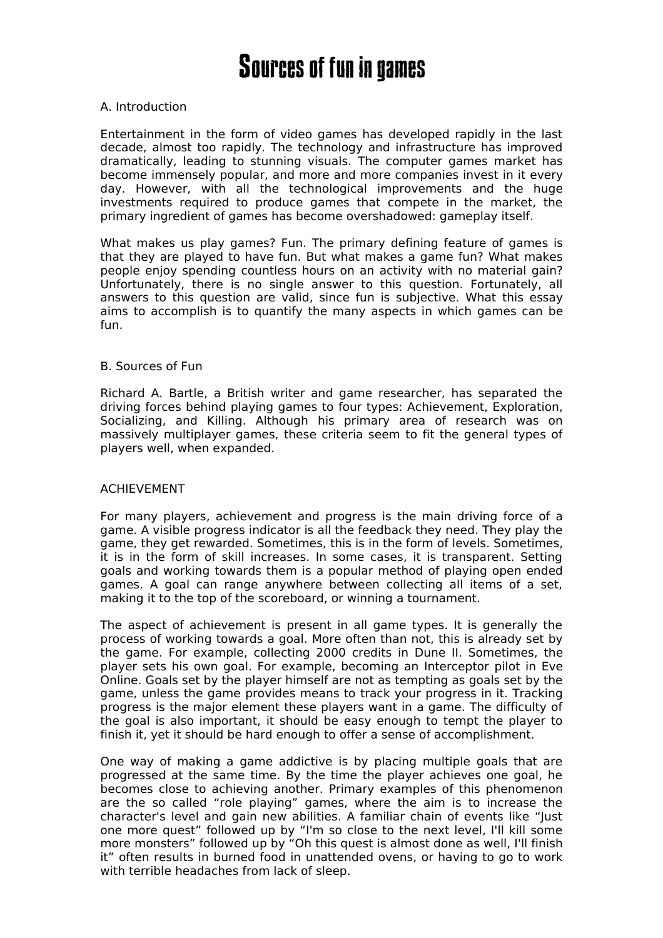# **Sources of fun in games**

## A. Introduction

Entertainment in the form of video games has developed rapidly in the last decade, almost too rapidly. The technology and infrastructure has improved dramatically, leading to stunning visuals. The computer games market has become immensely popular, and more and more companies invest in it every day. However, with all the technological improvements and the huge investments required to produce games that compete in the market, the primary ingredient of games has become overshadowed: gameplay itself.

What makes us play games? Fun. The primary defining feature of games is that they are played to have fun. But what makes a game fun? What makes people enjoy spending countless hours on an activity with no material gain? Unfortunately, there is no single answer to this question. Fortunately, all answers to this question are valid, since fun is subjective. What this essay aims to accomplish is to quantify the many aspects in which games can be fun.

## B. Sources of Fun

Richard A. Bartle, a British writer and game researcher, has separated the driving forces behind playing games to four types: Achievement, Exploration, Socializing, and Killing. Although his primary area of research was on massively multiplayer games, these criteria seem to fit the general types of players well, when expanded.

## ACHIEVEMENT

For many players, achievement and progress is the main driving force of a game. A visible progress indicator is all the feedback they need. They play the game, they get rewarded. Sometimes, this is in the form of levels. Sometimes, it is in the form of skill increases. In some cases, it is transparent. Setting goals and working towards them is a popular method of playing open ended games. A goal can range anywhere between collecting all items of a set, making it to the top of the scoreboard, or winning a tournament.

The aspect of achievement is present in all game types. It is generally the process of working towards a goal. More often than not, this is already set by the game. For example, collecting 2000 credits in Dune II. Sometimes, the player sets his own goal. For example, becoming an Interceptor pilot in Eve Online. Goals set by the player himself are not as tempting as goals set by the game, unless the game provides means to track your progress in it. Tracking progress is the major element these players want in a game. The difficulty of the goal is also important, it should be easy enough to tempt the player to finish it, yet it should be hard enough to offer a sense of accomplishment.

One way of making a game addictive is by placing multiple goals that are progressed at the same time. By the time the player achieves one goal, he becomes close to achieving another. Primary examples of this phenomenon are the so called "role playing" games, where the aim is to increase the character's level and gain new abilities. A familiar chain of events like "Just one more quest" followed up by "I'm so close to the next level, I'll kill some more monsters" followed up by "Oh this quest is almost done as well, I'll finish it" often results in burned food in unattended ovens, or having to go to work with terrible headaches from lack of sleep.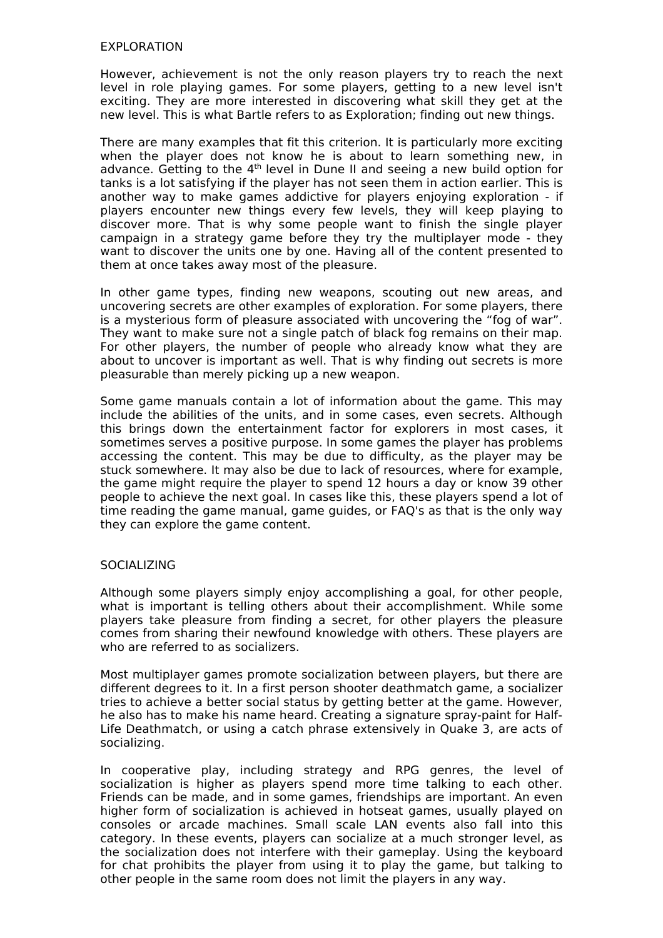## EXPLORATION

However, achievement is not the only reason players try to reach the next level in role playing games. For some players, getting to a new level isn't exciting. They are more interested in discovering what skill they get at the new level. This is what Bartle refers to as Exploration; finding out new things.

There are many examples that fit this criterion. It is particularly more exciting when the player does not know he is about to learn something new, in advance. Getting to the 4<sup>th</sup> level in Dune II and seeing a new build option for tanks is a lot satisfying if the player has not seen them in action earlier. This is another way to make games addictive for players enjoying exploration - if players encounter new things every few levels, they will keep playing to discover more. That is why some people want to finish the single player campaign in a strategy game before they try the multiplayer mode - they want to discover the units one by one. Having all of the content presented to them at once takes away most of the pleasure.

In other game types, finding new weapons, scouting out new areas, and uncovering secrets are other examples of exploration. For some players, there is a mysterious form of pleasure associated with uncovering the "fog of war". They want to make sure not a single patch of black fog remains on their map. For other players, the number of people who already know what they are about to uncover is important as well. That is why finding out secrets is more pleasurable than merely picking up a new weapon.

Some game manuals contain a lot of information about the game. This may include the abilities of the units, and in some cases, even secrets. Although this brings down the entertainment factor for explorers in most cases, it sometimes serves a positive purpose. In some games the player has problems accessing the content. This may be due to difficulty, as the player may be stuck somewhere. It may also be due to lack of resources, where for example, the game might require the player to spend 12 hours a day or know 39 other people to achieve the next goal. In cases like this, these players spend a lot of time reading the game manual, game guides, or FAQ's as that is the only way they can explore the game content.

## **SOCIALIZING**

Although some players simply enjoy accomplishing a goal, for other people, what is important is telling others about their accomplishment. While some players take pleasure from finding a secret, for other players the pleasure comes from sharing their newfound knowledge with others. These players are who are referred to as socializers.

Most multiplayer games promote socialization between players, but there are different degrees to it. In a first person shooter deathmatch game, a socializer tries to achieve a better social status by getting better at the game. However, he also has to make his name heard. Creating a signature spray-paint for Half-Life Deathmatch, or using a catch phrase extensively in Quake 3, are acts of socializing.

In cooperative play, including strategy and RPG genres, the level of socialization is higher as players spend more time talking to each other. Friends can be made, and in some games, friendships are important. An even higher form of socialization is achieved in hotseat games, usually played on consoles or arcade machines. Small scale LAN events also fall into this category. In these events, players can socialize at a much stronger level, as the socialization does not interfere with their gameplay. Using the keyboard for chat prohibits the player from using it to play the game, but talking to other people in the same room does not limit the players in any way.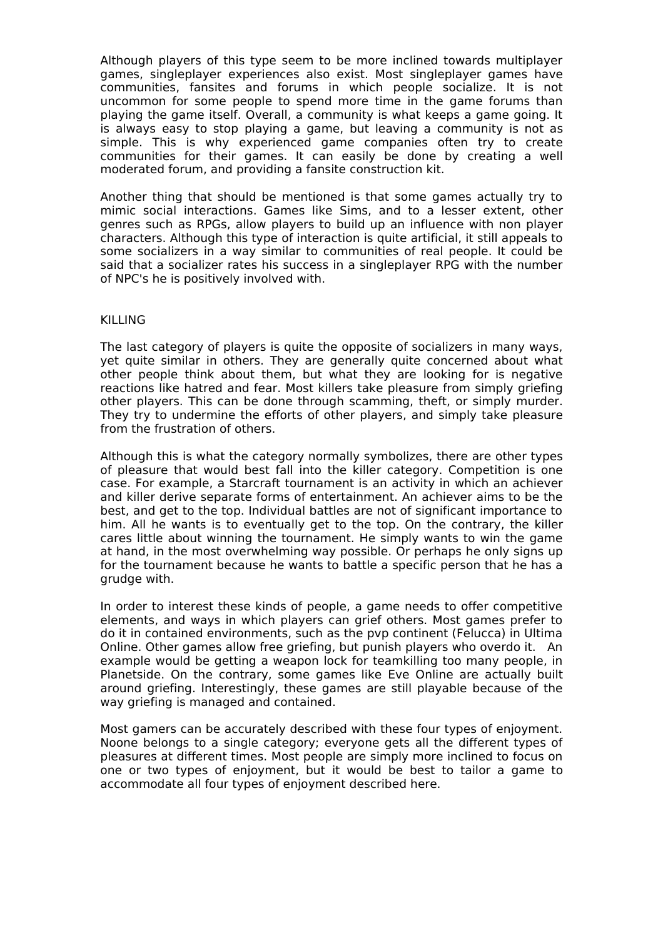Although players of this type seem to be more inclined towards multiplayer games, singleplayer experiences also exist. Most singleplayer games have communities, fansites and forums in which people socialize. It is not uncommon for some people to spend more time in the game forums than playing the game itself. Overall, a community is what keeps a game going. It is always easy to stop playing a game, but leaving a community is not as simple. This is why experienced game companies often try to create communities for their games. It can easily be done by creating a well moderated forum, and providing a fansite construction kit.

Another thing that should be mentioned is that some games actually try to mimic social interactions. Games like Sims, and to a lesser extent, other genres such as RPGs, allow players to build up an influence with non player characters. Although this type of interaction is quite artificial, it still appeals to some socializers in a way similar to communities of real people. It could be said that a socializer rates his success in a singleplayer RPG with the number of NPC's he is positively involved with.

## KILLING

The last category of players is quite the opposite of socializers in many ways, yet quite similar in others. They are generally quite concerned about what other people think about them, but what they are looking for is negative reactions like hatred and fear. Most killers take pleasure from simply griefing other players. This can be done through scamming, theft, or simply murder. They try to undermine the efforts of other players, and simply take pleasure from the frustration of others.

Although this is what the category normally symbolizes, there are other types of pleasure that would best fall into the killer category. Competition is one case. For example, a Starcraft tournament is an activity in which an achiever and killer derive separate forms of entertainment. An achiever aims to be the best, and get to the top. Individual battles are not of significant importance to him. All he wants is to eventually get to the top. On the contrary, the killer cares little about winning the tournament. He simply wants to win the game at hand, in the most overwhelming way possible. Or perhaps he only signs up for the tournament because he wants to battle a specific person that he has a grudge with.

In order to interest these kinds of people, a game needs to offer competitive elements, and ways in which players can grief others. Most games prefer to do it in contained environments, such as the pvp continent (Felucca) in Ultima Online. Other games allow free griefing, but punish players who overdo it. An example would be getting a weapon lock for teamkilling too many people, in Planetside. On the contrary, some games like Eve Online are actually built around griefing. Interestingly, these games are still playable because of the way griefing is managed and contained.

Most gamers can be accurately described with these four types of enjoyment. Noone belongs to a single category; everyone gets all the different types of pleasures at different times. Most people are simply more inclined to focus on one or two types of enjoyment, but it would be best to tailor a game to accommodate all four types of enjoyment described here.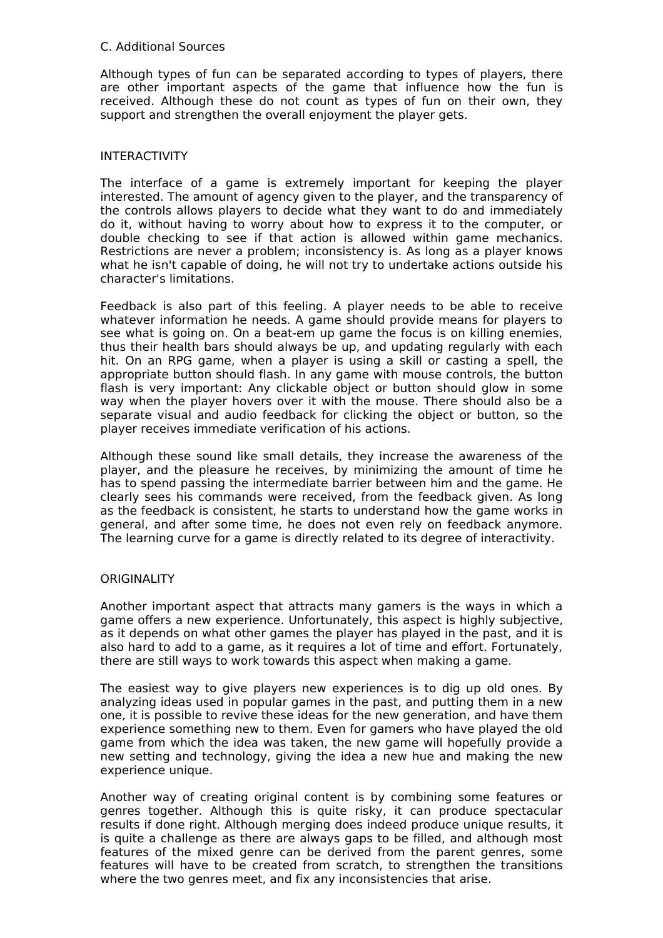## C. Additional Sources

Although types of fun can be separated according to types of players, there are other important aspects of the game that influence how the fun is received. Although these do not count as types of fun on their own, they support and strengthen the overall enjoyment the player gets.

## INTERACTIVITY

The interface of a game is extremely important for keeping the player interested. The amount of agency given to the player, and the transparency of the controls allows players to decide what they want to do and immediately do it, without having to worry about how to express it to the computer, or double checking to see if that action is allowed within game mechanics. Restrictions are never a problem; inconsistency is. As long as a player knows what he isn't capable of doing, he will not try to undertake actions outside his character's limitations.

Feedback is also part of this feeling. A player needs to be able to receive whatever information he needs. A game should provide means for players to see what is going on. On a beat-em up game the focus is on killing enemies, thus their health bars should always be up, and updating regularly with each hit. On an RPG game, when a player is using a skill or casting a spell, the appropriate button should flash. In any game with mouse controls, the button flash is very important: Any clickable object or button should glow in some way when the player hovers over it with the mouse. There should also be a separate visual and audio feedback for clicking the object or button, so the player receives immediate verification of his actions.

Although these sound like small details, they increase the awareness of the player, and the pleasure he receives, by minimizing the amount of time he has to spend passing the intermediate barrier between him and the game. He clearly sees his commands were received, from the feedback given. As long as the feedback is consistent, he starts to understand how the game works in general, and after some time, he does not even rely on feedback anymore. The learning curve for a game is directly related to its degree of interactivity.

## **ORIGINALITY**

Another important aspect that attracts many gamers is the ways in which a game offers a new experience. Unfortunately, this aspect is highly subjective, as it depends on what other games the player has played in the past, and it is also hard to add to a game, as it requires a lot of time and effort. Fortunately, there are still ways to work towards this aspect when making a game.

The easiest way to give players new experiences is to dig up old ones. By analyzing ideas used in popular games in the past, and putting them in a new one, it is possible to revive these ideas for the new generation, and have them experience something new to them. Even for gamers who have played the old game from which the idea was taken, the new game will hopefully provide a new setting and technology, giving the idea a new hue and making the new experience unique.

Another way of creating original content is by combining some features or genres together. Although this is quite risky, it can produce spectacular results if done right. Although merging does indeed produce unique results, it is quite a challenge as there are always gaps to be filled, and although most features of the mixed genre can be derived from the parent genres, some features will have to be created from scratch, to strengthen the transitions where the two genres meet, and fix any inconsistencies that arise.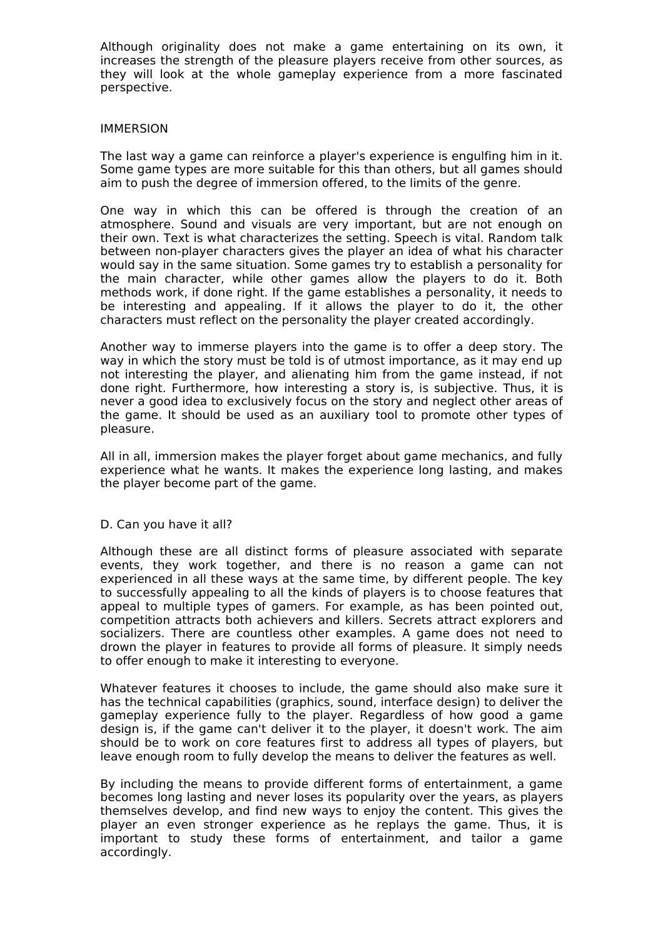Although originality does not make a game entertaining on its own, it increases the strength of the pleasure players receive from other sources, as they will look at the whole gameplay experience from a more fascinated perspective.

#### IMMERSION

The last way a game can reinforce a player's experience is engulfing him in it. Some game types are more suitable for this than others, but all games should aim to push the degree of immersion offered, to the limits of the genre.

One way in which this can be offered is through the creation of an atmosphere. Sound and visuals are very important, but are not enough on their own. Text is what characterizes the setting. Speech is vital. Random talk between non-player characters gives the player an idea of what his character would say in the same situation. Some games try to establish a personality for the main character, while other games allow the players to do it. Both methods work, if done right. If the game establishes a personality, it needs to be interesting and appealing. If it allows the player to do it, the other characters must reflect on the personality the player created accordingly.

Another way to immerse players into the game is to offer a deep story. The way in which the story must be told is of utmost importance, as it may end up not interesting the player, and alienating him from the game instead, if not done right. Furthermore, how interesting a story is, is subjective. Thus, it is never a good idea to exclusively focus on the story and neglect other areas of the game. It should be used as an auxiliary tool to promote other types of pleasure.

All in all, immersion makes the player forget about game mechanics, and fully experience what he wants. It makes the experience long lasting, and makes the player become part of the game.

#### D. Can you have it all?

Although these are all distinct forms of pleasure associated with separate events, they work together, and there is no reason a game can not experienced in all these ways at the same time, by different people. The key to successfully appealing to all the kinds of players is to choose features that appeal to multiple types of gamers. For example, as has been pointed out, competition attracts both achievers and killers. Secrets attract explorers and socializers. There are countless other examples. A game does not need to drown the player in features to provide all forms of pleasure. It simply needs to offer enough to make it interesting to everyone.

Whatever features it chooses to include, the game should also make sure it has the technical capabilities (graphics, sound, interface design) to deliver the gameplay experience fully to the player. Regardless of how good a game design is, if the game can't deliver it to the player, it doesn't work. The aim should be to work on core features first to address all types of players, but leave enough room to fully develop the means to deliver the features as well.

By including the means to provide different forms of entertainment, a game becomes long lasting and never loses its popularity over the years, as players themselves develop, and find new ways to enjoy the content. This gives the player an even stronger experience as he replays the game. Thus, it is important to study these forms of entertainment, and tailor a game accordingly.